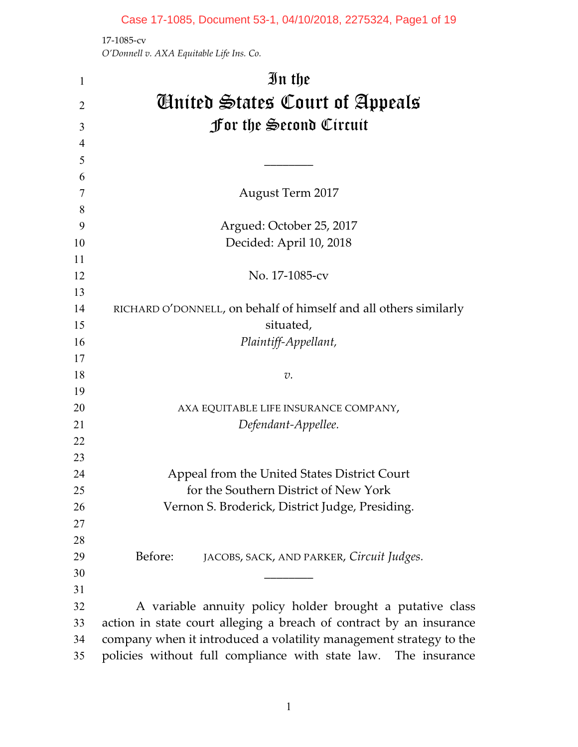## Case 17-1085, Document 53-1, 04/10/2018, 2275324, Page1 of 19

17-1085-cv *O'Donnell v. AXA Equitable Life Ins. Co.*

| 1        | In the                                                              |
|----------|---------------------------------------------------------------------|
| 2        | <b><i>Contred States Court of Appeals</i></b>                       |
| 3        | For the Second Circuit                                              |
| 4        |                                                                     |
| 5        |                                                                     |
| 6        |                                                                     |
| 7        | <b>August Term 2017</b>                                             |
| 8        |                                                                     |
| 9        | Argued: October 25, 2017                                            |
| 10       | Decided: April 10, 2018                                             |
| 11       |                                                                     |
| 12       | No. 17-1085-cv                                                      |
| 13       |                                                                     |
| 14       | RICHARD O'DONNELL, on behalf of himself and all others similarly    |
| 15       | situated,                                                           |
| 16       | Plaintiff-Appellant,                                                |
| 17       |                                                                     |
| 18       | v.                                                                  |
| 19       |                                                                     |
| 20       | AXA EQUITABLE LIFE INSURANCE COMPANY,                               |
| 21       | Defendant-Appellee.                                                 |
| 22       |                                                                     |
| 23       |                                                                     |
| 24       | Appeal from the United States District Court                        |
| 25       | for the Southern District of New York                               |
| 26       | Vernon S. Broderick, District Judge, Presiding.                     |
| 27<br>28 |                                                                     |
| 29       | Before:<br>JACOBS, SACK, AND PARKER, Circuit Judges.                |
| 30       |                                                                     |
| 31       |                                                                     |
| 32       | A variable annuity policy holder brought a putative class           |
| 33       | action in state court alleging a breach of contract by an insurance |
| 34       | company when it introduced a volatility management strategy to the  |
| 35       | policies without full compliance with state law. The insurance      |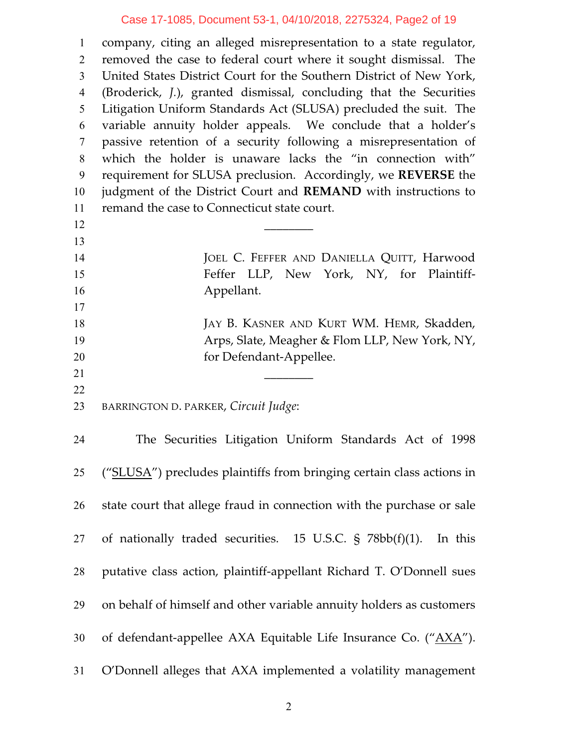## Case 17-1085, Document 53-1, 04/10/2018, 2275324, Page2 of 19

 company, citing an alleged misrepresentation to a state regulator, removed the case to federal court where it sought dismissal. The United States District Court for the Southern District of New York, (Broderick, *J.*), granted dismissal, concluding that the Securities Litigation Uniform Standards Act (SLUSA) precluded the suit. The variable annuity holder appeals. We conclude that a holder's passive retention of a security following a misrepresentation of which the holder is unaware lacks the "in connection with" requirement for SLUSA preclusion. Accordingly, we **REVERSE** the judgment of the District Court and **REMAND** with instructions to remand the case to Connecticut state court.  $\qquad \qquad \qquad$  14 JOEL C. FEFFER AND DANIELLA QUITT, Harwood Feffer LLP, New York, NY, for Plaintiff- Appellant. JAY B. KASNER AND KURT WM. HEMR, Skadden, 19 Arps, Slate, Meagher & Flom LLP, New York, NY, **for Defendant-Appellee.** 

BARRINGTON D. PARKER, *Circuit Judge*:

| 24 | The Securities Litigation Uniform Standards Act of 1998               |
|----|-----------------------------------------------------------------------|
| 25 | ("SLUSA") precludes plaintiffs from bringing certain class actions in |
| 26 | state court that allege fraud in connection with the purchase or sale |
|    | 27 of nationally traded securities. 15 U.S.C. § 78bb(f)(1). In this   |
| 28 | putative class action, plaintiff-appellant Richard T. O'Donnell sues  |
| 29 | on behalf of himself and other variable annuity holders as customers  |
| 30 | of defendant-appellee AXA Equitable Life Insurance Co. ("AXA").       |
| 31 | O'Donnell alleges that AXA implemented a volatility management        |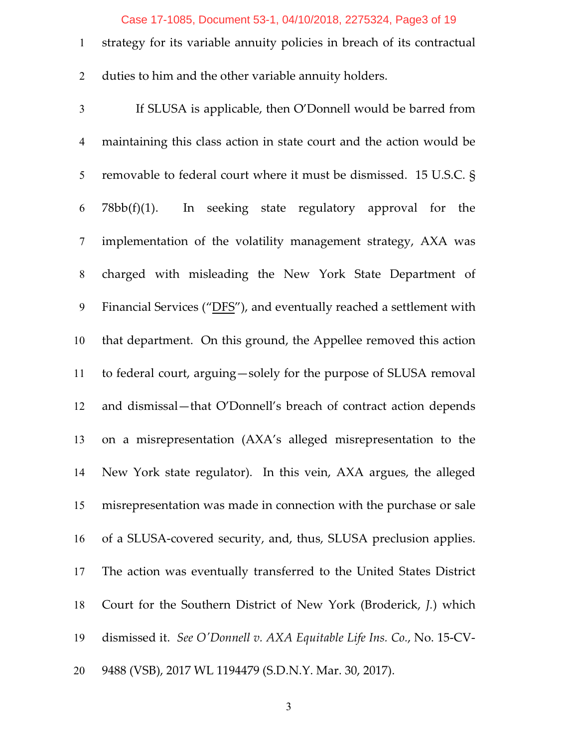#### Case 17-1085, Document 53-1, 04/10/2018, 2275324, Page3 of 19

 strategy for its variable annuity policies in breach of its contractual duties to him and the other variable annuity holders.

 If SLUSA is applicable, then O'Donnell would be barred from maintaining this class action in state court and the action would be removable to federal court where it must be dismissed. 15 U.S.C. § 78bb(f)(1). In seeking state regulatory approval for the implementation of the volatility management strategy, AXA was charged with misleading the New York State Department of Financial Services ("DFS"), and eventually reached a settlement with that department. On this ground, the Appellee removed this action to federal court, arguing—solely for the purpose of SLUSA removal and dismissal—that O'Donnell's breach of contract action depends on a misrepresentation (AXA's alleged misrepresentation to the New York state regulator). In this vein, AXA argues, the alleged misrepresentation was made in connection with the purchase or sale of a SLUSA-covered security, and, thus, SLUSA preclusion applies. The action was eventually transferred to the United States District Court for the Southern District of New York (Broderick, *J.*) which dismissed it. *See O'Donnell v. AXA Equitable Life Ins. Co.*, No. 15-CV-9488 (VSB), 2017 WL 1194479 (S.D.N.Y. Mar. 30, 2017).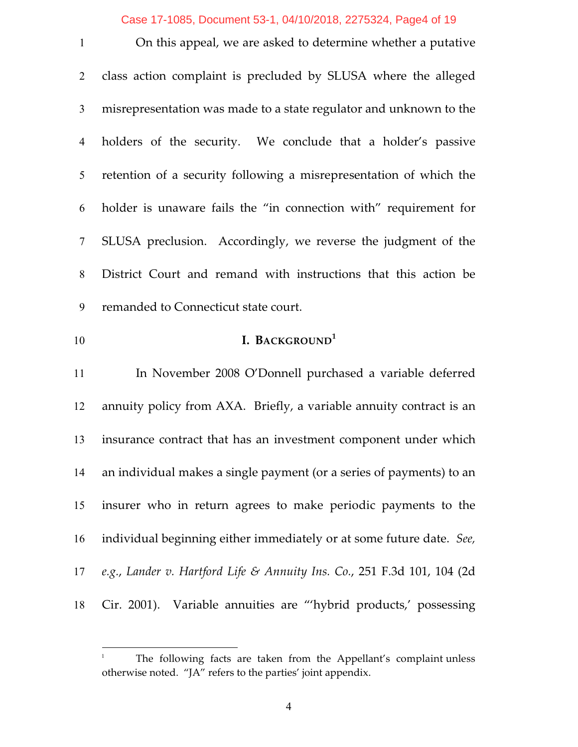#### Case 17-1085, Document 53-1, 04/10/2018, 2275324, Page4 of 19

 On this appeal, we are asked to determine whether a putative class action complaint is precluded by SLUSA where the alleged misrepresentation was made to a state regulator and unknown to the holders of the security. We conclude that a holder's passive retention of a security following a misrepresentation of which the holder is unaware fails the "in connection with" requirement for SLUSA preclusion. Accordingly, we reverse the judgment of the District Court and remand with instructions that this action be remanded to Connecticut state court. **I. BACKGROUND 1** In November 2008 O'Donnell purchased a variable deferred

 annuity policy from AXA. Briefly, a variable annuity contract is an insurance contract that has an investment component under which an individual makes a single payment (or a series of payments) to an insurer who in return agrees to make periodic payments to the individual beginning either immediately or at some future date. *See, e.g.*, *Lander v. Hartford Life & Annuity Ins. Co.*, 251 F.3d 101, 104 (2d Cir. 2001). Variable annuities are "'hybrid products,' possessing

The following facts are taken from the Appellant's complaint unless otherwise noted. "JA" refers to the parties' joint appendix.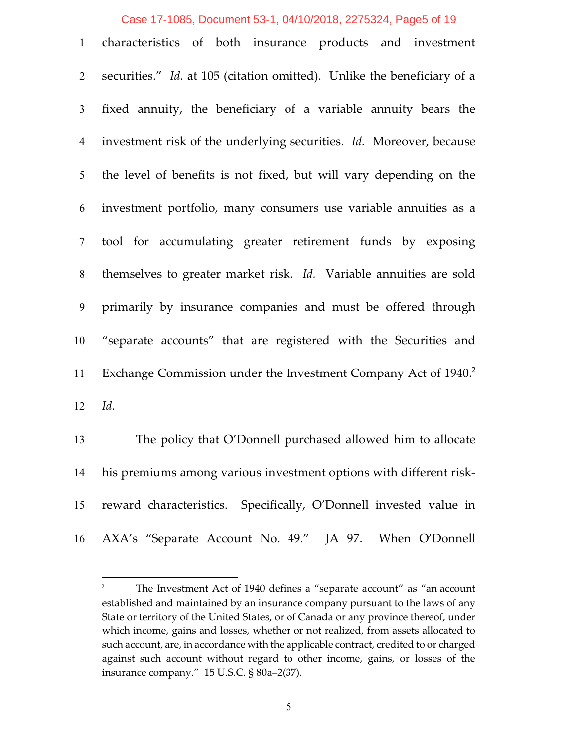#### Case 17-1085, Document 53-1, 04/10/2018, 2275324, Page5 of 19

| 1               | characteristics of both insurance products and investment                  |
|-----------------|----------------------------------------------------------------------------|
| $\overline{2}$  | securities." Id. at 105 (citation omitted). Unlike the beneficiary of a    |
| 3 <sup>1</sup>  | fixed annuity, the beneficiary of a variable annuity bears the             |
| $\overline{4}$  | investment risk of the underlying securities. Id. Moreover, because        |
| 5               | the level of benefits is not fixed, but will vary depending on the         |
| 6               | investment portfolio, many consumers use variable annuities as a           |
| $7\overline{ }$ | tool for accumulating greater retirement funds by exposing                 |
| 8               | themselves to greater market risk. Id. Variable annuities are sold         |
| 9               | primarily by insurance companies and must be offered through               |
| 10              | "separate accounts" that are registered with the Securities and            |
| 11              | Exchange Commission under the Investment Company Act of 1940. <sup>2</sup> |
| 12              | Id.                                                                        |
| 13              | The policy that O'Donnell purchased allowed him to allocate                |

 his premiums among various investment options with different risk- reward characteristics. Specifically, O'Donnell invested value in AXA's "Separate Account No. 49." JA 97. When O'Donnell

The Investment Act of 1940 defines a "separate account" as "an account established and maintained by an insurance company pursuant to the laws of any State or territory of the United States, or of Canada or any province thereof, under which income, gains and losses, whether or not realized, from assets allocated to such account, are, in accordance with the applicable contract, credited to or charged against such account without regard to other income, gains, or losses of the insurance company." 15 U.S.C. § 80a–2(37).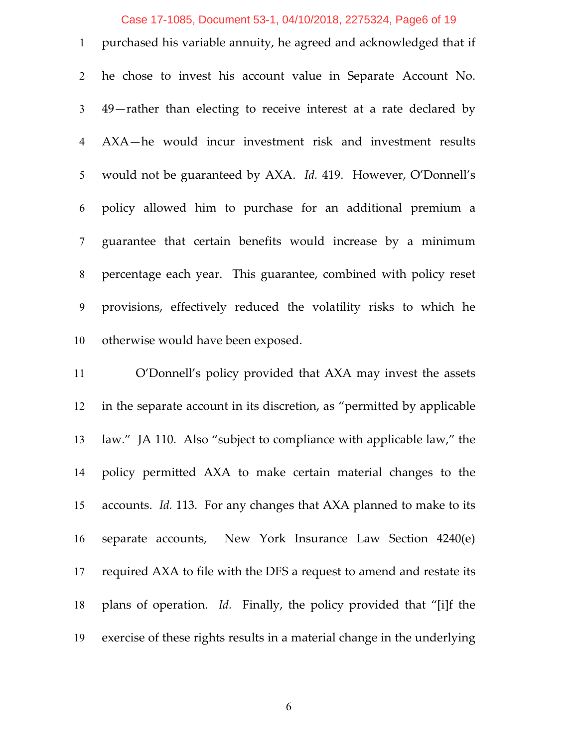### Case 17-1085, Document 53-1, 04/10/2018, 2275324, Page6 of 19

 purchased his variable annuity, he agreed and acknowledged that if he chose to invest his account value in Separate Account No. 49—rather than electing to receive interest at a rate declared by AXA—he would incur investment risk and investment results would not be guaranteed by AXA. *Id.* 419. However, O'Donnell's policy allowed him to purchase for an additional premium a guarantee that certain benefits would increase by a minimum percentage each year. This guarantee, combined with policy reset provisions, effectively reduced the volatility risks to which he otherwise would have been exposed.

 O'Donnell's policy provided that AXA may invest the assets in the separate account in its discretion, as "permitted by applicable law." JA 110. Also "subject to compliance with applicable law," the policy permitted AXA to make certain material changes to the accounts. *Id.* 113. For any changes that AXA planned to make to its separate accounts, New York Insurance Law Section 4240(e) required AXA to file with the DFS a request to amend and restate its plans of operation. *Id.* Finally, the policy provided that "[i]f the exercise of these rights results in a material change in the underlying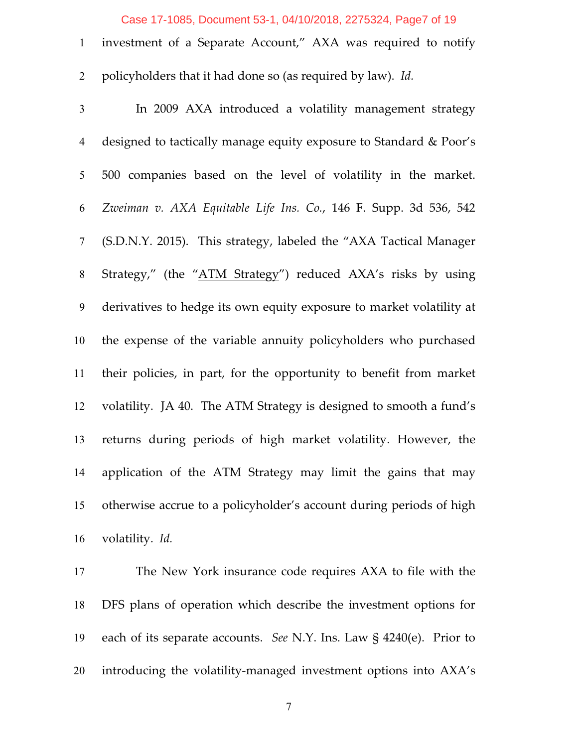#### Case 17-1085, Document 53-1, 04/10/2018, 2275324, Page7 of 19

| 1 investment of a Separate Account," AXA was required to notify |  |  |  |  |
|-----------------------------------------------------------------|--|--|--|--|

policyholders that it had done so (as required by law). *Id.*

 In 2009 AXA introduced a volatility management strategy designed to tactically manage equity exposure to Standard & Poor's 500 companies based on the level of volatility in the market. *Zweiman v. AXA Equitable Life Ins. Co.*, 146 F. Supp. 3d 536, 542 (S.D.N.Y. 2015). This strategy, labeled the "AXA Tactical Manager Strategy," (the "ATM Strategy") reduced AXA's risks by using derivatives to hedge its own equity exposure to market volatility at the expense of the variable annuity policyholders who purchased their policies, in part, for the opportunity to benefit from market volatility. JA 40. The ATM Strategy is designed to smooth a fund's returns during periods of high market volatility. However, the application of the ATM Strategy may limit the gains that may otherwise accrue to a policyholder's account during periods of high volatility. *Id.*

 The New York insurance code requires AXA to file with the DFS plans of operation which describe the investment options for each of its separate accounts. *See* N.Y. Ins. Law § 4240(e). Prior to introducing the volatility-managed investment options into AXA's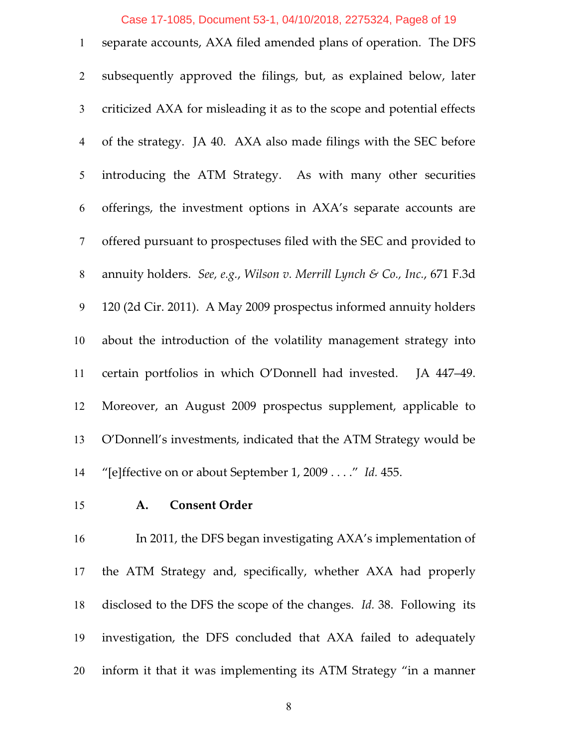## Case 17-1085, Document 53-1, 04/10/2018, 2275324, Page8 of 19

| $\mathbf{1}$   | separate accounts, AXA filed amended plans of operation. The DFS          |
|----------------|---------------------------------------------------------------------------|
| $\overline{2}$ | subsequently approved the filings, but, as explained below, later         |
| $\mathfrak{Z}$ | criticized AXA for misleading it as to the scope and potential effects    |
| $\overline{4}$ | of the strategy. JA 40. AXA also made filings with the SEC before         |
| 5              | introducing the ATM Strategy. As with many other securities               |
| 6              | offerings, the investment options in AXA's separate accounts are          |
| $\tau$         | offered pursuant to prospectuses filed with the SEC and provided to       |
| 8              | annuity holders. See, e.g., Wilson v. Merrill Lynch & Co., Inc., 671 F.3d |
| 9              | 120 (2d Cir. 2011). A May 2009 prospectus informed annuity holders        |
| 10             | about the introduction of the volatility management strategy into         |
| 11             | certain portfolios in which O'Donnell had invested.<br>JA 447-49.         |
| 12             | Moreover, an August 2009 prospectus supplement, applicable to             |
| 13             | O'Donnell's investments, indicated that the ATM Strategy would be         |
| 14             | "[e]ffective on or about September 1, 2009" Id. 455.                      |

## **A. Consent Order**

 In 2011, the DFS began investigating AXA's implementation of the ATM Strategy and, specifically, whether AXA had properly disclosed to the DFS the scope of the changes. *Id.* 38. Following its investigation, the DFS concluded that AXA failed to adequately inform it that it was implementing its ATM Strategy "in a manner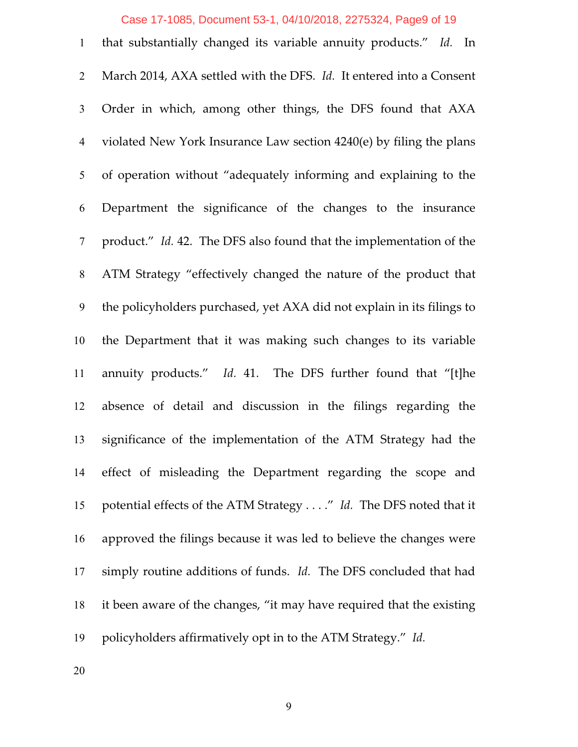# Case 17-1085, Document 53-1, 04/10/2018, 2275324, Page9 of 19

| $\mathbf{1}$   | that substantially changed its variable annuity products." Id. In      |
|----------------|------------------------------------------------------------------------|
| $\overline{2}$ | March 2014, AXA settled with the DFS. Id. It entered into a Consent    |
| $\mathfrak{Z}$ | Order in which, among other things, the DFS found that AXA             |
| $\overline{4}$ | violated New York Insurance Law section 4240(e) by filing the plans    |
| 5              | of operation without "adequately informing and explaining to the       |
| 6              | Department the significance of the changes to the insurance            |
| $\tau$         | product." Id. 42. The DFS also found that the implementation of the    |
| 8              | ATM Strategy "effectively changed the nature of the product that       |
| 9              | the policyholders purchased, yet AXA did not explain in its filings to |
| 10             | the Department that it was making such changes to its variable         |
| 11             | annuity products." Id. 41. The DFS further found that "[t]he           |
| 12             | absence of detail and discussion in the filings regarding the          |
| 13             | significance of the implementation of the ATM Strategy had the         |
| 14             | effect of misleading the Department regarding the scope and            |
| 15             | potential effects of the ATM Strategy" Id. The DFS noted that it       |
| 16             | approved the filings because it was led to believe the changes were    |
| 17             | simply routine additions of funds. Id. The DFS concluded that had      |
| 18             | it been aware of the changes, "it may have required that the existing  |
| 19             | policyholders affirmatively opt in to the ATM Strategy." Id.           |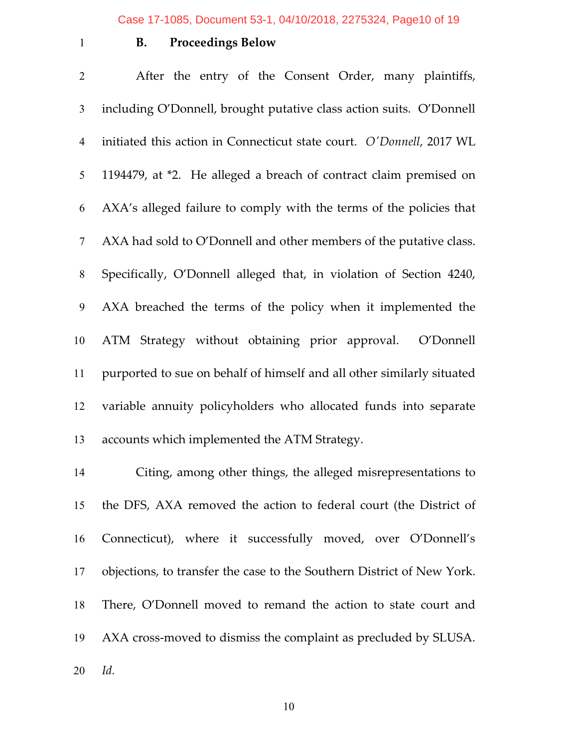## **B. Proceedings Below**

 After the entry of the Consent Order, many plaintiffs, including O'Donnell, brought putative class action suits. O'Donnell initiated this action in Connecticut state court. *O'Donnell*, 2017 WL 1194479, at \*2. He alleged a breach of contract claim premised on AXA's alleged failure to comply with the terms of the policies that AXA had sold to O'Donnell and other members of the putative class. Specifically, O'Donnell alleged that, in violation of Section 4240, AXA breached the terms of the policy when it implemented the ATM Strategy without obtaining prior approval. O'Donnell purported to sue on behalf of himself and all other similarly situated variable annuity policyholders who allocated funds into separate accounts which implemented the ATM Strategy.

 Citing, among other things, the alleged misrepresentations to the DFS, AXA removed the action to federal court (the District of Connecticut), where it successfully moved, over O'Donnell's objections, to transfer the case to the Southern District of New York. There, O'Donnell moved to remand the action to state court and AXA cross-moved to dismiss the complaint as precluded by SLUSA.

*Id.*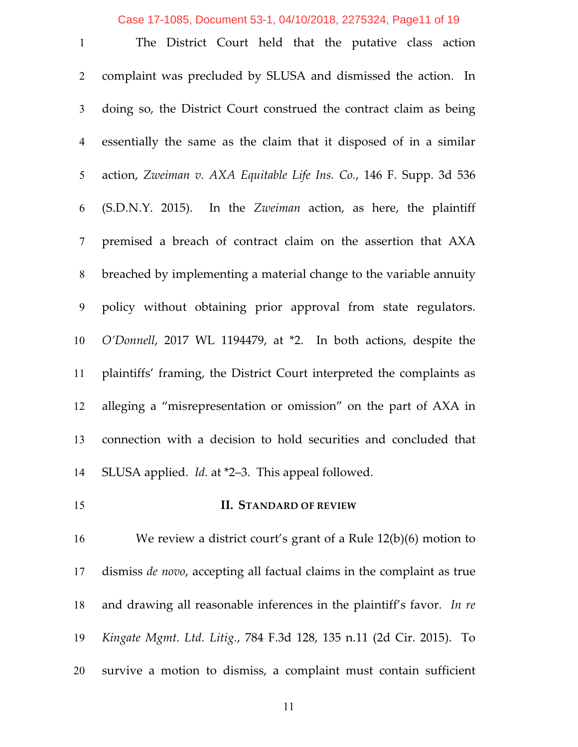Case 17-1085, Document 53-1, 04/10/2018, 2275324, Page11 of 19

 The District Court held that the putative class action complaint was precluded by SLUSA and dismissed the action. In doing so, the District Court construed the contract claim as being essentially the same as the claim that it disposed of in a similar action, *Zweiman v. AXA Equitable Life Ins. Co.*, 146 F. Supp. 3d 536 (S.D.N.Y. 2015). In the *Zweiman* action, as here, the plaintiff premised a breach of contract claim on the assertion that AXA breached by implementing a material change to the variable annuity policy without obtaining prior approval from state regulators. *O'Donnell*, 2017 WL 1194479, at \*2. In both actions, despite the plaintiffs' framing, the District Court interpreted the complaints as alleging a "misrepresentation or omission" on the part of AXA in connection with a decision to hold securities and concluded that SLUSA applied. *Id.* at \*2–3. This appeal followed. **II. STANDARD OF REVIEW**

 We review a district court's grant of a Rule 12(b)(6) motion to dismiss *de novo*, accepting all factual claims in the complaint as true and drawing all reasonable inferences in the plaintiff's favor. *In re Kingate Mgmt. Ltd. Litig.*, 784 F.3d 128, 135 n.11 (2d Cir. 2015). To survive a motion to dismiss, a complaint must contain sufficient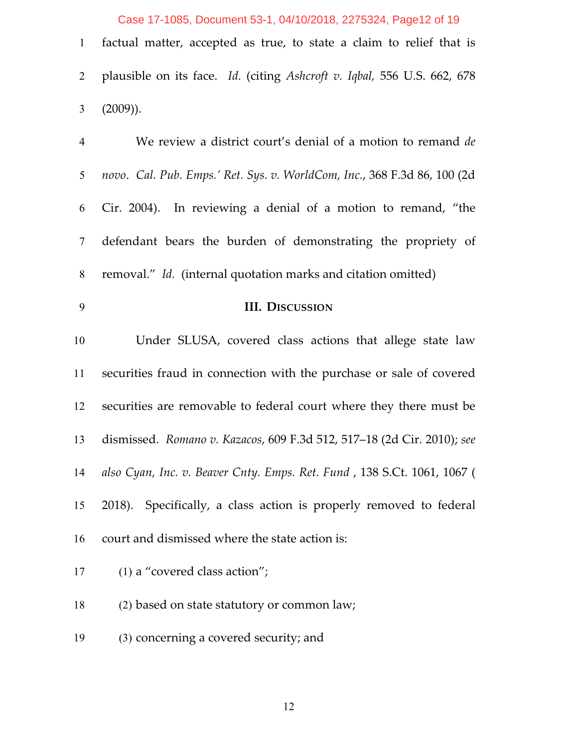Case 17-1085, Document 53-1, 04/10/2018, 2275324, Page12 of 19

| 1 factual matter, accepted as true, to state a claim to relief that is    |
|---------------------------------------------------------------------------|
| 2 plausible on its face. Id. (citing Ashcroft v. Iqbal, 556 U.S. 662, 678 |
| 3 $(2009)$ ).                                                             |

| $\overline{4}$ | We review a district court's denial of a motion to remand de             |
|----------------|--------------------------------------------------------------------------|
| 5              | novo. Cal. Pub. Emps.' Ret. Sys. v. WorldCom, Inc., 368 F.3d 86, 100 (2d |
| 6              | Cir. 2004). In reviewing a denial of a motion to remand, "the            |
| $\tau$         | defendant bears the burden of demonstrating the propriety of             |
| $8\,$          | removal." Id. (internal quotation marks and citation omitted)            |
| 9              | <b>III. DISCUSSION</b>                                                   |
| 10             | Under SLUSA, covered class actions that allege state law                 |
| 11             | securities fraud in connection with the purchase or sale of covered      |
| 12             | securities are removable to federal court where they there must be       |
| 13             | dismissed. Romano v. Kazacos, 609 F.3d 512, 517-18 (2d Cir. 2010); see   |
| 14             | also Cyan, Inc. v. Beaver Cnty. Emps. Ret. Fund, 138 S.Ct. 1061, 1067 (  |
| 15             | 2018). Specifically, a class action is properly removed to federal       |
| 16             | court and dismissed where the state action is:                           |
| 17             | (1) a "covered class action";                                            |
| 18             | (2) based on state statutory or common law;                              |

(3) concerning a covered security; and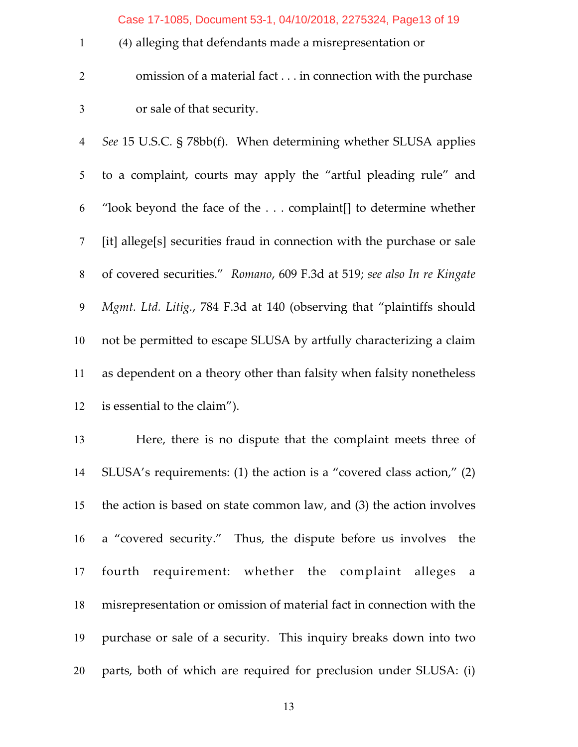Case 17-1085, Document 53-1, 04/10/2018, 2275324, Page13 of 19

- (4) alleging that defendants made a misrepresentation or
- omission of a material fact . . . in connection with the purchase or sale of that security.

 *See* 15 U.S.C. § 78bb(f). When determining whether SLUSA applies to a complaint, courts may apply the "artful pleading rule" and "look beyond the face of the . . . complaint[] to determine whether [it] allege[s] securities fraud in connection with the purchase or sale of covered securities." *Romano*, 609 F.3d at 519; *see also In re Kingate Mgmt. Ltd. Litig.*, 784 F.3d at 140 (observing that "plaintiffs should not be permitted to escape SLUSA by artfully characterizing a claim as dependent on a theory other than falsity when falsity nonetheless is essential to the claim").

 Here, there is no dispute that the complaint meets three of SLUSA's requirements: (1) the action is a "covered class action," (2) the action is based on state common law, and (3) the action involves a "covered security." Thus, the dispute before us involves the fourth requirement: whether the complaint alleges a misrepresentation or omission of material fact in connection with the purchase or sale of a security. This inquiry breaks down into two parts, both of which are required for preclusion under SLUSA: (i)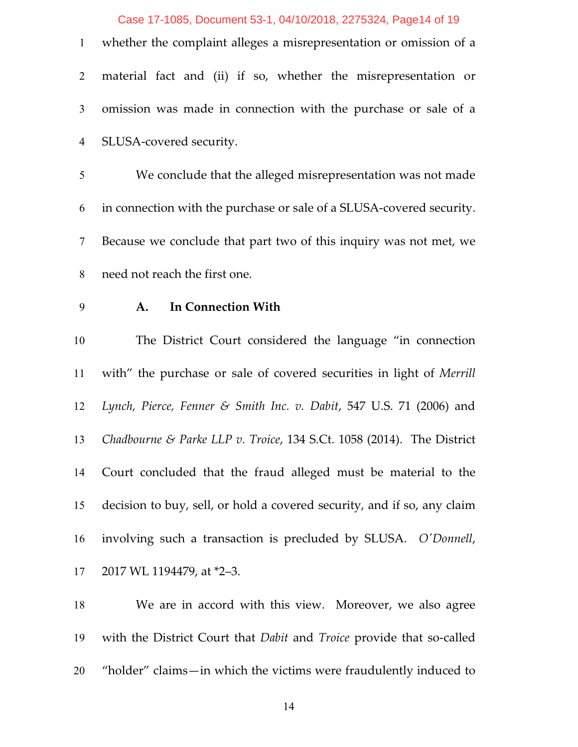#### Case 17-1085, Document 53-1, 04/10/2018, 2275324, Page14 of 19

| 1 whether the complaint alleges a misrepresentation or omission of a |
|----------------------------------------------------------------------|
| 2 material fact and (ii) if so, whether the misrepresentation or     |
| 3 omission was made in connection with the purchase or sale of a     |
| 4 SLUSA-covered security.                                            |

 We conclude that the alleged misrepresentation was not made in connection with the purchase or sale of a SLUSA-covered security. Because we conclude that part two of this inquiry was not met, we need not reach the first one.

## **A. In Connection With**

 The District Court considered the language "in connection with" the purchase or sale of covered securities in light of *Merrill Lynch, Pierce, Fenner & Smith Inc. v. Dabit*, 547 U.S. 71 (2006) and *Chadbourne & Parke LLP v. Troice*, 134 S.Ct. 1058 (2014). The District Court concluded that the fraud alleged must be material to the decision to buy, sell, or hold a covered security, and if so, any claim involving such a transaction is precluded by SLUSA. *O'Donnell*, 2017 WL 1194479, at \*2–3.

 We are in accord with this view. Moreover, we also agree with the District Court that *Dabit* and *Troice* provide that so-called "holder" claims—in which the victims were fraudulently induced to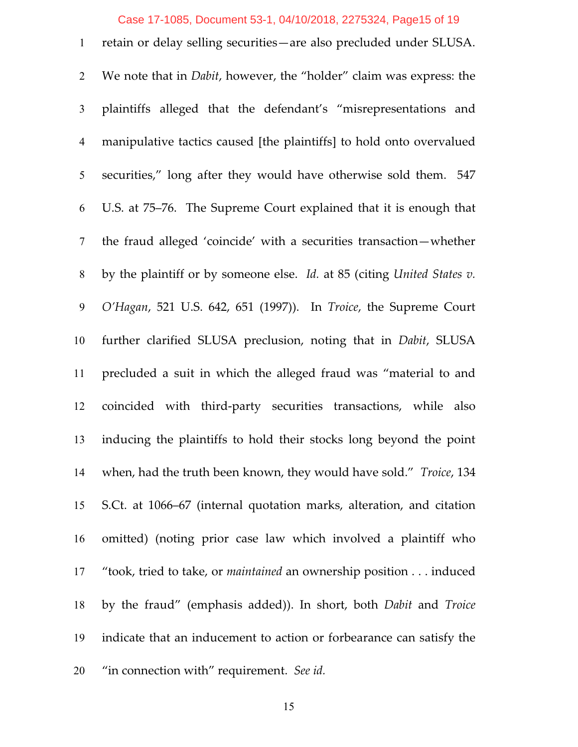#### Case 17-1085, Document 53-1, 04/10/2018, 2275324, Page15 of 19

 retain or delay selling securities—are also precluded under SLUSA. We note that in *Dabit*, however, the "holder" claim was express: the plaintiffs alleged that the defendant's "misrepresentations and manipulative tactics caused [the plaintiffs] to hold onto overvalued securities," long after they would have otherwise sold them. 547 U.S. at 75–76. The Supreme Court explained that it is enough that the fraud alleged 'coincide' with a securities transaction—whether by the plaintiff or by someone else. *Id.* at 85 (citing *United States v. O'Hagan*, 521 U.S. 642, 651 (1997)). In *Troice*, the Supreme Court further clarified SLUSA preclusion, noting that in *Dabit*, SLUSA precluded a suit in which the alleged fraud was "material to and coincided with third-party securities transactions, while also inducing the plaintiffs to hold their stocks long beyond the point when, had the truth been known, they would have sold." *Troice*, 134 S.Ct. at 1066–67 (internal quotation marks, alteration, and citation omitted) (noting prior case law which involved a plaintiff who "took, tried to take, or *maintained* an ownership position . . . induced by the fraud" (emphasis added)). In short, both *Dabit* and *Troice* indicate that an inducement to action or forbearance can satisfy the "in connection with" requirement. *See id.*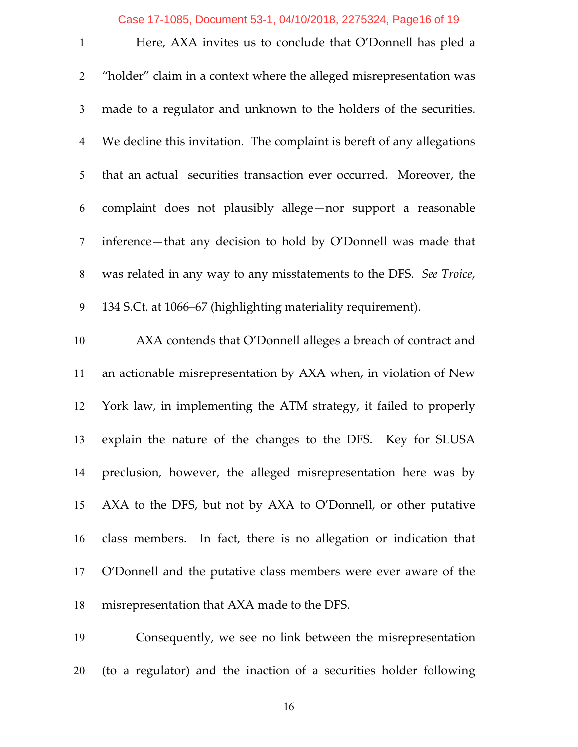## Case 17-1085, Document 53-1, 04/10/2018, 2275324, Page16 of 19

| $\mathbf{1}$   | Here, AXA invites us to conclude that O'Donnell has pled a             |
|----------------|------------------------------------------------------------------------|
| $\overline{2}$ | "holder" claim in a context where the alleged misrepresentation was    |
| 3              | made to a regulator and unknown to the holders of the securities.      |
| $\overline{4}$ | We decline this invitation. The complaint is bereft of any allegations |
| 5              | that an actual securities transaction ever occurred. Moreover, the     |
| 6              | complaint does not plausibly allege-nor support a reasonable           |
| $\tau$         | inference—that any decision to hold by O'Donnell was made that         |
| $8\,$          | was related in any way to any misstatements to the DFS. See Troice,    |
| 9              | 134 S.Ct. at 1066–67 (highlighting materiality requirement).           |
| 10             | AXA contends that O'Donnell alleges a breach of contract and           |
| 11             | an actionable misrepresentation by AXA when, in violation of New       |
| 12             | York law, in implementing the ATM strategy, it failed to properly      |
| 13             | explain the nature of the changes to the DFS. Key for SLUSA            |
| 14             | preclusion, however, the alleged misrepresentation here was by         |
| 15             | AXA to the DFS, but not by AXA to O'Donnell, or other putative         |
| 16             | class members. In fact, there is no allegation or indication that      |
| 17             | O'Donnell and the putative class members were ever aware of the        |
| 18             | misrepresentation that AXA made to the DFS.                            |
| 19             | Consequently, we see no link between the misrepresentation             |

(to a regulator) and the inaction of a securities holder following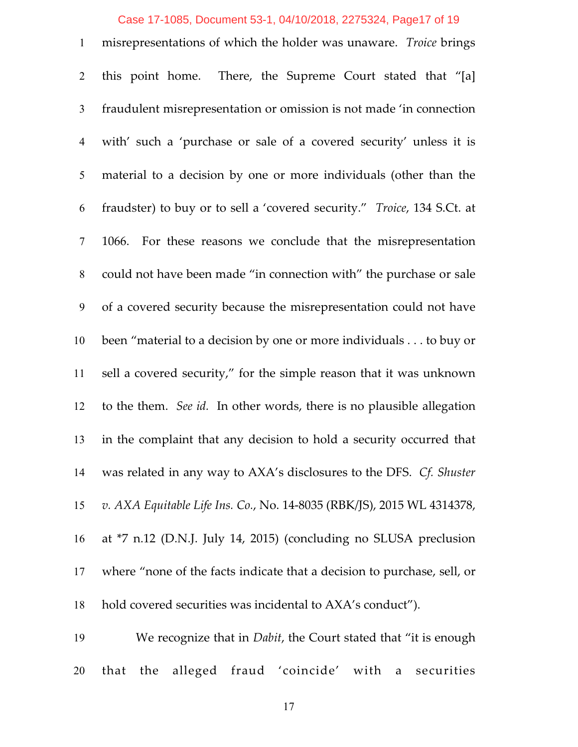#### Case 17-1085, Document 53-1, 04/10/2018, 2275324, Page17 of 19

 misrepresentations of which the holder was unaware. *Troice* brings this point home. There, the Supreme Court stated that "[a] fraudulent misrepresentation or omission is not made 'in connection with' such a 'purchase or sale of a covered security' unless it is material to a decision by one or more individuals (other than the fraudster) to buy or to sell a 'covered security." *Troice*, 134 S.Ct. at 1066. For these reasons we conclude that the misrepresentation could not have been made "in connection with" the purchase or sale of a covered security because the misrepresentation could not have been "material to a decision by one or more individuals . . . to buy or sell a covered security," for the simple reason that it was unknown to the them. *See id.* In other words, there is no plausible allegation in the complaint that any decision to hold a security occurred that was related in any way to AXA's disclosures to the DFS. *Cf. Shuster v. AXA Equitable Life Ins. Co.*, No. 14-8035 (RBK/JS), 2015 WL 4314378, at \*7 n.12 (D.N.J. July 14, 2015) (concluding no SLUSA preclusion where "none of the facts indicate that a decision to purchase, sell, or hold covered securities was incidental to AXA's conduct").

 We recognize that in *Dabit*, the Court stated that "it is enough that the alleged fraud 'coincide' with a securities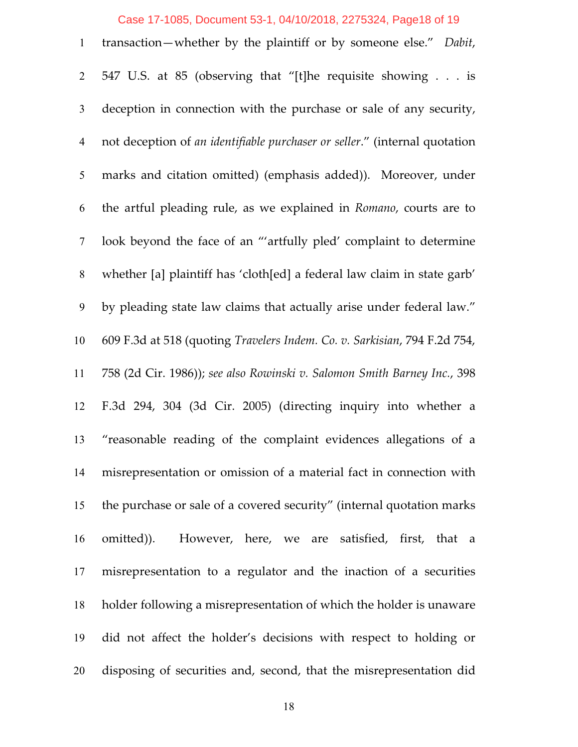# Case 17-1085, Document 53-1, 04/10/2018, 2275324, Page18 of 19

| $\mathbf{1}$   | transaction—whether by the plaintiff or by someone else." Dabit,           |
|----------------|----------------------------------------------------------------------------|
| $\overline{2}$ | 547 U.S. at 85 (observing that "[t]he requisite showing is                 |
| 3              | deception in connection with the purchase or sale of any security,         |
| $\overline{4}$ | not deception of an identifiable purchaser or seller." (internal quotation |
| 5              | marks and citation omitted) (emphasis added)). Moreover, under             |
| 6              | the artful pleading rule, as we explained in Romano, courts are to         |
| $\tau$         | look beyond the face of an "'artfully pled' complaint to determine         |
| 8              | whether [a] plaintiff has 'cloth[ed] a federal law claim in state garb'    |
| 9              | by pleading state law claims that actually arise under federal law."       |
| 10             | 609 F.3d at 518 (quoting Travelers Indem. Co. v. Sarkisian, 794 F.2d 754,  |
| 11             | 758 (2d Cir. 1986)); see also Rowinski v. Salomon Smith Barney Inc., 398   |
| 12             | F.3d 294, 304 (3d Cir. 2005) (directing inquiry into whether a             |
| 13             | "reasonable reading of the complaint evidences allegations of a            |
| 14             | misrepresentation or omission of a material fact in connection with        |
| 15             | the purchase or sale of a covered security" (internal quotation marks      |
| 16             | omitted)). However, here, we are satisfied, first, that a                  |
| 17             | misrepresentation to a regulator and the inaction of a securities          |
| 18             | holder following a misrepresentation of which the holder is unaware        |
| 19             | did not affect the holder's decisions with respect to holding or           |
| 20             | disposing of securities and, second, that the misrepresentation did        |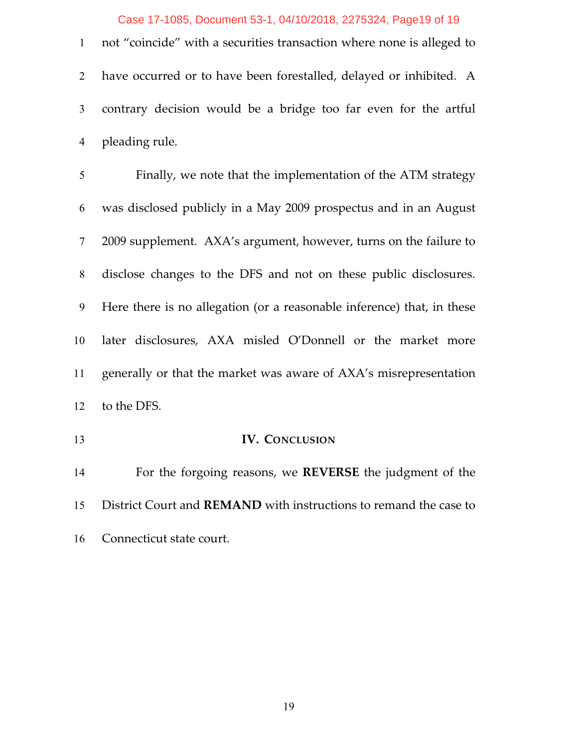## Case 17-1085, Document 53-1, 04/10/2018, 2275324, Page19 of 19

 not "coincide" with a securities transaction where none is alleged to have occurred or to have been forestalled, delayed or inhibited. A contrary decision would be a bridge too far even for the artful pleading rule.

 Finally, we note that the implementation of the ATM strategy was disclosed publicly in a May 2009 prospectus and in an August 2009 supplement. AXA's argument, however, turns on the failure to disclose changes to the DFS and not on these public disclosures. Here there is no allegation (or a reasonable inference) that, in these later disclosures, AXA misled O'Donnell or the market more generally or that the market was aware of AXA's misrepresentation to the DFS.

**IV. CONCLUSION** 

 For the forgoing reasons, we **REVERSE** the judgment of the District Court and **REMAND** with instructions to remand the case to Connecticut state court.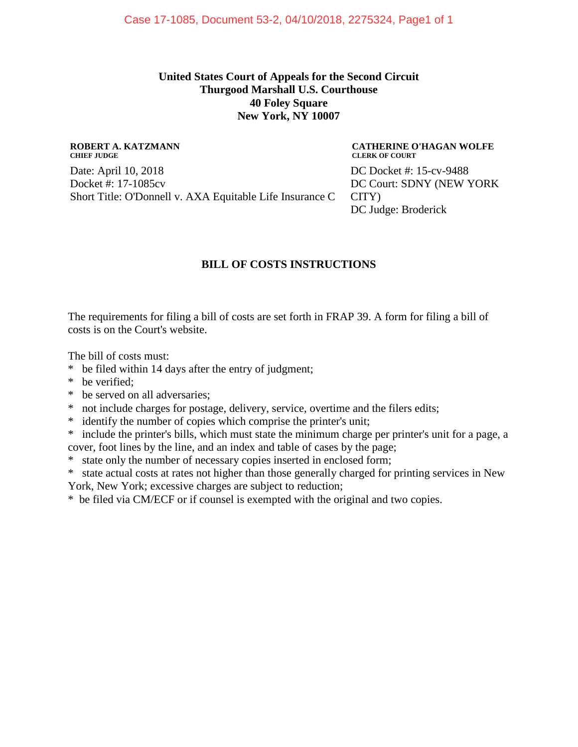## **United States Court of Appeals for the Second Circuit Thurgood Marshall U.S. Courthouse 40 Foley Square New York, NY 10007**

#### **ROBERT A. KATZMANN CHIEF JUDGE**

Date: April 10, 2018 Docket #: 17-1085cv Short Title: O'Donnell v. AXA Equitable Life Insurance C

#### **CATHERINE O'HAGAN WOLFE CLERK OF COURT**

DC Docket #: 15-cv-9488 DC Court: SDNY (NEW YORK CITY) DC Judge: Broderick

## **BILL OF COSTS INSTRUCTIONS**

The requirements for filing a bill of costs are set forth in FRAP 39. A form for filing a bill of costs is on the Court's website.

The bill of costs must:

- \* be filed within 14 days after the entry of judgment;
- \* be verified;
- \* be served on all adversaries;
- \* not include charges for postage, delivery, service, overtime and the filers edits;
- \* identify the number of copies which comprise the printer's unit;
- \* include the printer's bills, which must state the minimum charge per printer's unit for a page, a cover, foot lines by the line, and an index and table of cases by the page;
- \* state only the number of necessary copies inserted in enclosed form;
- \* state actual costs at rates not higher than those generally charged for printing services in New
- York, New York; excessive charges are subject to reduction;

\* be filed via CM/ECF or if counsel is exempted with the original and two copies.